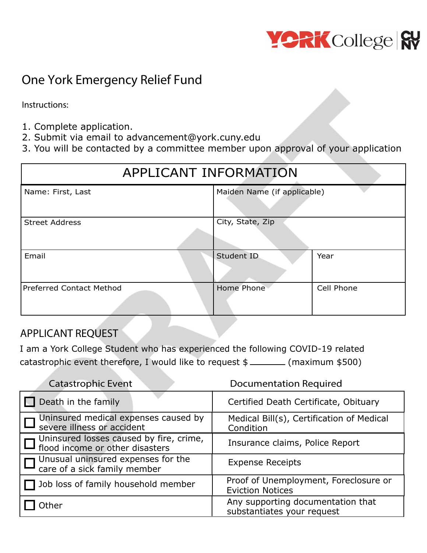

# **One York Emergency Relief Fund**

**Instructions:**

- 1. Complete application.
- 2. Submit via email to advancement@york.cuny.edu
- 3. You will be contacted by a committee member upon approval of your application

| APPLICANT INFORMATION           |                             |            |  |
|---------------------------------|-----------------------------|------------|--|
| Name: First, Last               | Maiden Name (if applicable) |            |  |
| <b>Street Address</b>           | City, State, Zip            |            |  |
| Email                           | Student ID                  | Year       |  |
| <b>Preferred Contact Method</b> | Home Phone                  | Cell Phone |  |

## **APPLICANT REQUEST**

I am a York College Student who has experienced the following COVID-19 related catastrophic event therefore, I would like to request \$ (maximum \$500)

| <b>Catastrophic Event</b>                                                  | <b>Documentation Required</b>                                    |  |
|----------------------------------------------------------------------------|------------------------------------------------------------------|--|
| Death in the family                                                        | Certified Death Certificate, Obituary                            |  |
| Uninsured medical expenses caused by<br>severe illness or accident         | Medical Bill(s), Certification of Medical<br>Condition           |  |
| Uninsured losses caused by fire, crime,<br>flood income or other disasters | Insurance claims, Police Report                                  |  |
| Unusual uninsured expenses for the<br>care of a sick family member         | <b>Expense Receipts</b>                                          |  |
| Job loss of family household member                                        | Proof of Unemployment, Foreclosure or<br><b>Eviction Notices</b> |  |
| Other                                                                      | Any supporting documentation that<br>substantiates your request  |  |